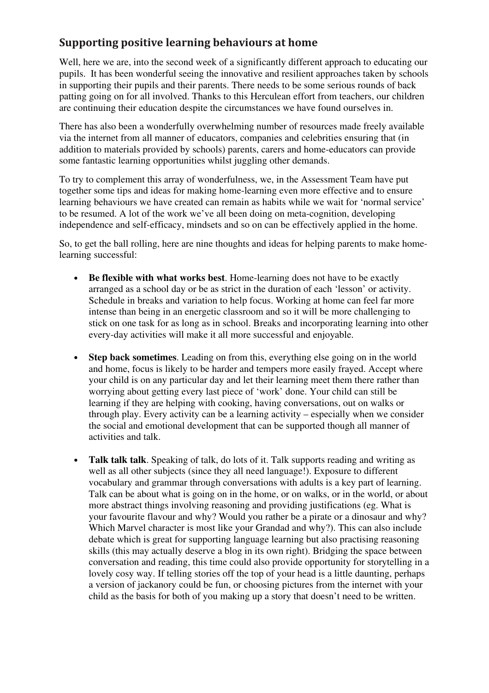## **Supporting positive learning behaviours at home**

Well, here we are, into the second week of a significantly different approach to educating our pupils. It has been wonderful seeing the innovative and resilient approaches taken by schools in supporting their pupils and their parents. There needs to be some serious rounds of back patting going on for all involved. Thanks to this Herculean effort from teachers, our children are continuing their education despite the circumstances we have found ourselves in.

There has also been a wonderfully overwhelming number of resources made freely available via the internet from all manner of educators, companies and celebrities ensuring that (in addition to materials provided by schools) parents, carers and home-educators can provide some fantastic learning opportunities whilst juggling other demands.

To try to complement this array of wonderfulness, we, in the Assessment Team have put together some tips and ideas for making home-learning even more effective and to ensure learning behaviours we have created can remain as habits while we wait for 'normal service' to be resumed. A lot of the work we've all been doing on meta-cognition, developing independence and self-efficacy, mindsets and so on can be effectively applied in the home.

So, to get the ball rolling, here are nine thoughts and ideas for helping parents to make homelearning successful:

- **Be flexible with what works best**. Home-learning does not have to be exactly arranged as a school day or be as strict in the duration of each 'lesson' or activity. Schedule in breaks and variation to help focus. Working at home can feel far more intense than being in an energetic classroom and so it will be more challenging to stick on one task for as long as in school. Breaks and incorporating learning into other every-day activities will make it all more successful and enjoyable.
- **Step back sometimes**. Leading on from this, everything else going on in the world and home, focus is likely to be harder and tempers more easily frayed. Accept where your child is on any particular day and let their learning meet them there rather than worrying about getting every last piece of 'work' done. Your child can still be learning if they are helping with cooking, having conversations, out on walks or through play. Every activity can be a learning activity – especially when we consider the social and emotional development that can be supported though all manner of activities and talk.
- **Talk talk talk**. Speaking of talk, do lots of it. Talk supports reading and writing as well as all other subjects (since they all need language!). Exposure to different vocabulary and grammar through conversations with adults is a key part of learning. Talk can be about what is going on in the home, or on walks, or in the world, or about more abstract things involving reasoning and providing justifications (eg. What is your favourite flavour and why? Would you rather be a pirate or a dinosaur and why? Which Marvel character is most like your Grandad and why?). This can also include debate which is great for supporting language learning but also practising reasoning skills (this may actually deserve a blog in its own right). Bridging the space between conversation and reading, this time could also provide opportunity for storytelling in a lovely cosy way. If telling stories off the top of your head is a little daunting, perhaps a version of jackanory could be fun, or choosing pictures from the internet with your child as the basis for both of you making up a story that doesn't need to be written.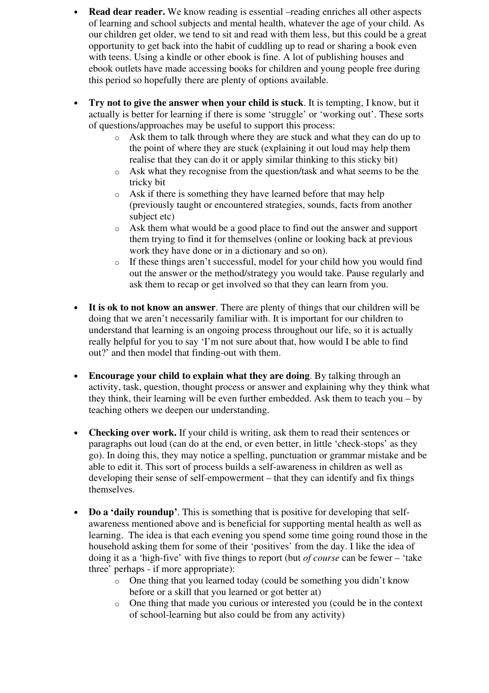- **Read dear reader.** We know reading is essential –reading enriches all other aspects of learning and school subjects and mental health, whatever the age of your child. As our children get older, we tend to sit and read with them less, but this could be a great opportunity to get back into the habit of cuddling up to read or sharing a book even with teens. Using a kindle or other ebook is fine. A lot of publishing houses and ebook outlets have made accessing books for children and young people free during this period so hopefully there are plenty of options available.
- **Try not to give the answer when your child is stuck**. It is tempting, I know, but it actually is better for learning if there is some 'struggle' or 'working out'. These sorts of questions/approaches may be useful to support this process:
	- o Ask them to talk through where they are stuck and what they can do up to the point of where they are stuck (explaining it out loud may help them realise that they can do it or apply similar thinking to this sticky bit)
	- o Ask what they recognise from the question/task and what seems to be the tricky bit
	- o Ask if there is something they have learned before that may help (previously taught or encountered strategies, sounds, facts from another subject etc)
	- o Ask them what would be a good place to find out the answer and support them trying to find it for themselves (online or looking back at previous work they have done or in a dictionary and so on).
	- o If these things aren't successful, model for your child how you would find out the answer or the method/strategy you would take. Pause regularly and ask them to recap or get involved so that they can learn from you.
- **It is ok to not know an answer**. There are plenty of things that our children will be doing that we aren't necessarily familiar with. It is important for our children to understand that learning is an ongoing process throughout our life, so it is actually really helpful for you to say 'I'm not sure about that, how would I be able to find out?' and then model that finding-out with them.
- **Encourage your child to explain what they are doing**. By talking through an activity, task, question, thought process or answer and explaining why they think what they think, their learning will be even further embedded. Ask them to teach you – by teaching others we deepen our understanding.
- **Checking over work.** If your child is writing, ask them to read their sentences or paragraphs out loud (can do at the end, or even better, in little 'check-stops' as they go). In doing this, they may notice a spelling, punctuation or grammar mistake and be able to edit it. This sort of process builds a self-awareness in children as well as developing their sense of self-empowerment – that they can identify and fix things themselves.
- **Do a 'daily roundup'**. This is something that is positive for developing that selfawareness mentioned above and is beneficial for supporting mental health as well as learning. The idea is that each evening you spend some time going round those in the household asking them for some of their 'positives' from the day. I like the idea of doing it as a 'high-five' with five things to report (but *of course* can be fewer – 'take three' perhaps - if more appropriate):
	- o One thing that you learned today (could be something you didn't know before or a skill that you learned or got better at)
	- o One thing that made you curious or interested you (could be in the context of school-learning but also could be from any activity)